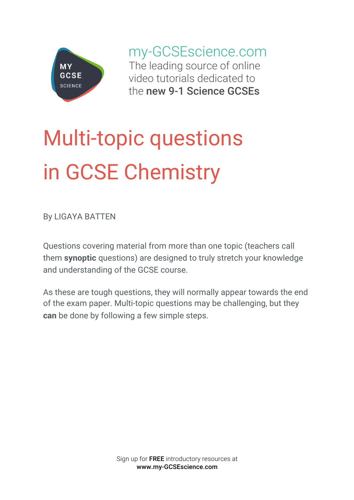

my-GCSEscience.com The leading source of online video tutorials dedicated to the new 9-1 Science GCSEs

# Multi-topic questions in GCSE Chemistry

By LIGAYA BATTEN

Questions covering material from more than one topic (teachers call them **synoptic** questions) are designed to truly stretch your knowledge and understanding of the GCSE course.

As these are tough questions, they will normally appear towards the end of the exam paper. Multi-topic questions may be challenging, but they **can** be done by following a few simple steps.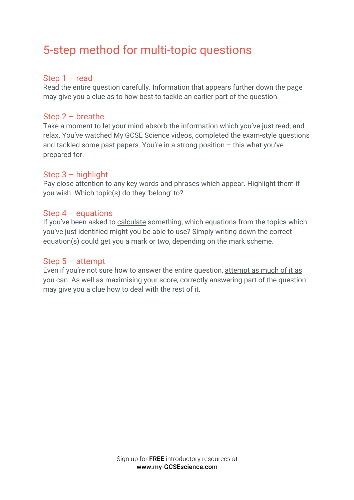# 5-step method for multi-topic questions

# Step 1 – read

Read the entire question carefully. Information that appears further down the page may give you a clue as to how best to tackle an earlier part of the question.

#### Step 2 – breathe

Take a moment to let your mind absorb the information which you've just read, and relax. You've watched My GCSE Science videos, completed the exam-style questions and tackled some past papers. You're in a strong position – this what you've prepared for.

# Step  $3 -$  highlight

Pay close attention to any key words and phrases which appear. Highlight them if you wish. Which topic(s) do they 'belong' to?

#### Step  $4$  – equations

If you've been asked to calculate something, which equations from the topics which you've just identified might you be able to use? Simply writing down the correct equation(s) could get you a mark or two, depending on the mark scheme.

# Step 5 – attempt

Even if you're not sure how to answer the entire question, attempt as much of it as you can. As well as maximising your score, correctly answering part of the question may give you a clue how to deal with the rest of it.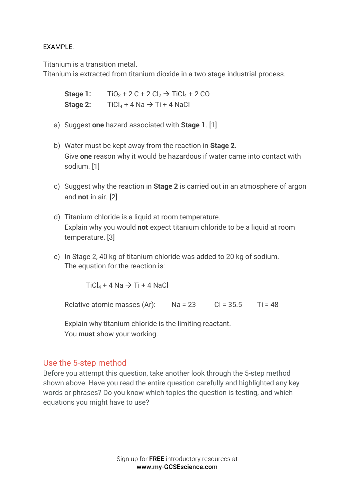#### EXAMPLE.

Titanium is a transition metal.

Titanium is extracted from titanium dioxide in a two stage industrial process.

**Stage 1:**  $TiO_2 + 2C + 2Cl_2 \rightarrow TiCl_4 + 2CO$ **Stage 2:**  $Ticl_4 + 4 Na \rightarrow Ti + 4 NaCl$ 

- a) Suggest **one** hazard associated with **Stage 1**. [1]
- b) Water must be kept away from the reaction in **Stage 2**. Give **one** reason why it would be hazardous if water came into contact with sodium. [1]
- c) Suggest why the reaction in **Stage 2** is carried out in an atmosphere of argon and **not** in air. [2]
- d) Titanium chloride is a liquid at room temperature. Explain why you would **not** expect titanium chloride to be a liquid at room temperature. [3]
- e) In Stage 2, 40 kg of titanium chloride was added to 20 kg of sodium. The equation for the reaction is:

 $Ticl_4 + 4 Na \rightarrow Ti + 4 NaCl$ 

Relative atomic masses  $(Ar)$ : Na = 23 Cl = 35.5 Ti = 48

Explain why titanium chloride is the limiting reactant. You **must** show your working.

# Use the 5-step method

Before you attempt this question, take another look through the 5-step method shown above. Have you read the entire question carefully and highlighted any key words or phrases? Do you know which topics the question is testing, and which equations you might have to use?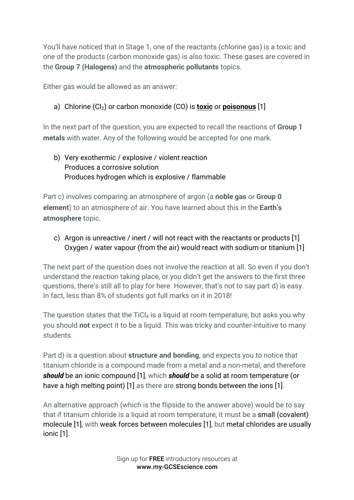You'll have noticed that in Stage 1, one of the reactants (chlorine gas) is a toxic and one of the products (carbon monoxide gas) is also toxic. These gases are covered in the **Group 7 (Halogens)** and the **atmospheric pollutants** topics.

Either gas would be allowed as an answer:

# a) Chlorine (Cl<sub>2</sub>) or carbon monoxide (CO) is **toxic** or **poisonous** [1]

In the next part of the question, you are expected to recall the reactions of **Group 1 metals** with water. Any of the following would be accepted for one mark.

# b) Very exothermic / explosive / violent reaction Produces a corrosive solution Produces hydrogen which is explosive / flammable

Part c) involves comparing an atmosphere of argon (a **noble gas** or **Group 0 element**) to an atmosphere of air. You have learned about this in the **Earth's atmosphere** topic.

c) Argon is unreactive / inert / will not react with the reactants or products [1] Oxygen / water vapour (from the air) would react with sodium or titanium [1]

The next part of the question does not involve the reaction at all. So even if you don't understand the reaction taking place, or you didn't get the answers to the first three questions, there's still all to play for here. However, that's not to say part d) is easy. In fact, less than 8% of students got full marks on it in 2018!

The question states that the TiCl<sub>4</sub> is a liquid at room temperature, but asks you why you should **not** expect it to be a liquid. This was tricky and counter-intuitive to many students.

Part d) is a question about **structure and bonding**, and expects you to notice that titanium chloride is a compound made from a metal and a non-metal, and therefore *should* be an ionic compound [1], which *should* be a solid at room temperature (or have a high melting point) [1] as there are strong bonds between the ions [1].

An alternative approach (which is the flipside to the answer above) would be to say that if titanium chloride is a liquid at room temperature, it must be a small (covalent) molecule [1], with weak forces between molecules [1], but metal chlorides are usually ionic [1].